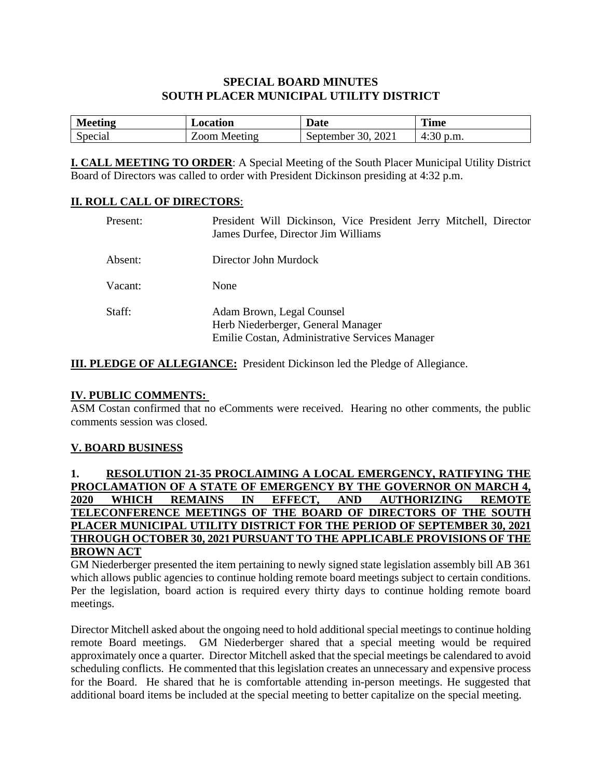# **SPECIAL BOARD MINUTES SOUTH PLACER MUNICIPAL UTILITY DISTRICT**

| <b>Meeting</b> | Location        | Date                                                  | <b>Time</b>                  |
|----------------|-----------------|-------------------------------------------------------|------------------------------|
| Special        | _00m<br>Meeting | $\Omega$<br>$\mathcal{L}$<br>.september<br>าเ<br>2021 | $\sim$<br>p.m.<br>4.<br>+.JU |

**I. CALL MEETING TO ORDER**: A Special Meeting of the South Placer Municipal Utility District Board of Directors was called to order with President Dickinson presiding at 4:32 p.m.

### **II. ROLL CALL OF DIRECTORS**:

| Present: | President Will Dickinson, Vice President Jerry Mitchell, Director<br>James Durfee, Director Jim Williams          |
|----------|-------------------------------------------------------------------------------------------------------------------|
| Absent:  | Director John Murdock                                                                                             |
| Vacant:  | None                                                                                                              |
| Staff:   | Adam Brown, Legal Counsel<br>Herb Niederberger, General Manager<br>Emilie Costan, Administrative Services Manager |

**III. PLEDGE OF ALLEGIANCE:** President Dickinson led the Pledge of Allegiance.

#### **IV. PUBLIC COMMENTS:**

ASM Costan confirmed that no eComments were received. Hearing no other comments, the public comments session was closed.

### **V. BOARD BUSINESS**

#### **1. RESOLUTION 21-35 PROCLAIMING A LOCAL EMERGENCY, RATIFYING THE PROCLAMATION OF A STATE OF EMERGENCY BY THE GOVERNOR ON MARCH 4, 2020 WHICH REMAINS IN EFFECT, AND AUTHORIZING REMOTE TELECONFERENCE MEETINGS OF THE BOARD OF DIRECTORS OF THE SOUTH PLACER MUNICIPAL UTILITY DISTRICT FOR THE PERIOD OF SEPTEMBER 30, 2021 THROUGH OCTOBER 30, 2021 PURSUANT TO THE APPLICABLE PROVISIONS OF THE BROWN ACT**

GM Niederberger presented the item pertaining to newly signed state legislation assembly bill AB 361 which allows public agencies to continue holding remote board meetings subject to certain conditions. Per the legislation, board action is required every thirty days to continue holding remote board meetings.

Director Mitchell asked about the ongoing need to hold additional special meetings to continue holding remote Board meetings. GM Niederberger shared that a special meeting would be required approximately once a quarter. Director Mitchell asked that the special meetings be calendared to avoid scheduling conflicts. He commented that this legislation creates an unnecessary and expensive process for the Board. He shared that he is comfortable attending in-person meetings. He suggested that additional board items be included at the special meeting to better capitalize on the special meeting.